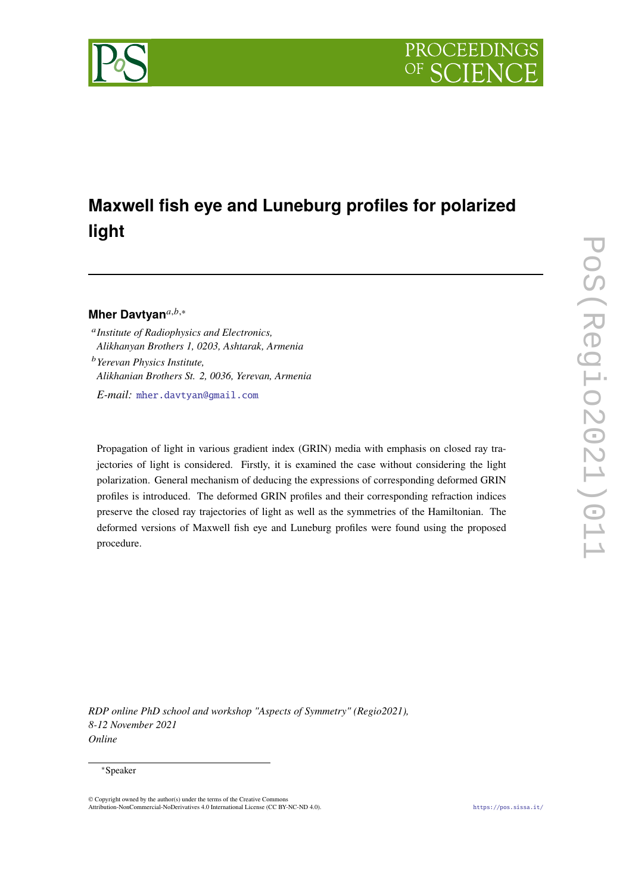

# **Maxwell fish eye and Luneburg profiles for polarized light**

## Mher Davtyan<sup>a,b,</sup>\*

 *Institute of Radiophysics and Electronics, Alikhanyan Brothers 1, 0203, Ashtarak, Armenia Yerevan Physics Institute, Alikhanian Brothers St. 2, 0036, Yerevan, Armenia*

*E-mail:* [mher.davtyan@gmail.com](mailto:mher.davtyan@gmail.com)

Propagation of light in various gradient index (GRIN) media with emphasis on closed ray trajectories of light is considered. Firstly, it is examined the case without considering the light polarization. General mechanism of deducing the expressions of corresponding deformed GRIN profiles is introduced. The deformed GRIN profiles and their corresponding refraction indices preserve the closed ray trajectories of light as well as the symmetries of the Hamiltonian. The deformed versions of Maxwell fish eye and Luneburg profiles were found using the proposed procedure.

*RDP online PhD school and workshop "Aspects of Symmetry" (Regio2021), 8-12 November 2021 Online*

#### <sup>∗</sup>Speaker

© Copyright owned by the author(s) under the terms of the Creative Commons Attribution-NonCommercial-NoDerivatives 4.0 International License (CC BY-NC-ND 4.0). <https://pos.sissa.it/>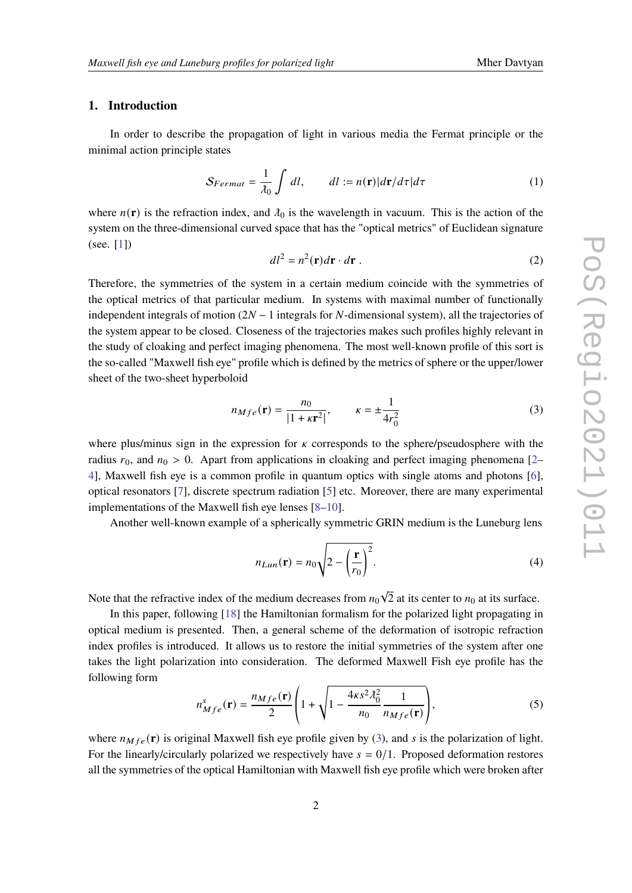#### **1. Introduction**

In order to describe the propagation of light in various media the Fermat principle or the minimal action principle states

<span id="page-1-3"></span>
$$
S_{Fermat} = \frac{1}{\lambda_0} \int dl, \qquad dl := n(\mathbf{r}) |d\mathbf{r}/d\tau| d\tau \tag{1}
$$

where  $n(\mathbf{r})$  is the refraction index, and  $\lambda_0$  is the wavelength in vacuum. This is the action of the system on the three-dimensional curved space that has the "optical metrics" of Euclidean signature (see. [\[1\]](#page-7-0))

$$
dl^2 = n^2(\mathbf{r})d\mathbf{r} \cdot d\mathbf{r} \tag{2}
$$

Therefore, the symmetries of the system in a certain medium coincide with the symmetries of the optical metrics of that particular medium. In systems with maximal number of functionally independent integrals of motion  $(2N - 1)$  integrals for N-dimensional system), all the trajectories of the system appear to be closed. Closeness of the trajectories makes such profiles highly relevant in the study of cloaking and perfect imaging phenomena. The most well-known profile of this sort is the so-called "Maxwell fish eye" profile which is defined by the metrics of sphere or the upper/lower sheet of the two-sheet hyperboloid

<span id="page-1-0"></span>
$$
n_{Mfe}(\mathbf{r}) = \frac{n_0}{|1 + \kappa \mathbf{r}^2|}, \qquad \kappa = \pm \frac{1}{4r_0^2}
$$
 (3)

where plus/minus sign in the expression for  $\kappa$  corresponds to the sphere/pseudosphere with the radius  $r_0$ , and  $n_0 > 0$ . Apart from applications in cloaking and perfect imaging phenomena [\[2–](#page-7-1) [4\]](#page-7-2), Maxwell fish eye is a common profile in quantum optics with single atoms and photons [\[6\]](#page-8-0), optical resonators [\[7\]](#page-8-1), discrete spectrum radiation [\[5\]](#page-8-2) etc. Moreover, there are many experimental implementations of the Maxwell fish eye lenses [\[8](#page-8-3)[–10\]](#page-8-4).

Another well-known example of a spherically symmetric GRIN medium is the Luneburg lens

<span id="page-1-2"></span>
$$
n_{Lun}(\mathbf{r}) = n_0 \sqrt{2 - \left(\frac{\mathbf{r}}{r_0}\right)^2}.
$$
 (4)

Note that the refractive index of the medium decreases from  $n_0\sqrt{2}$  at its center to  $n_0$  at its surface.

In this paper, following [\[18\]](#page-8-5) the Hamiltonian formalism for the polarized light propagating in optical medium is presented. Then, a general scheme of the deformation of isotropic refraction index profiles is introduced. It allows us to restore the initial symmetries of the system after one takes the light polarization into consideration. The deformed Maxwell Fish eye profile has the following form

<span id="page-1-1"></span>
$$
n_{Mfe}^{s}(\mathbf{r}) = \frac{n_{Mfe}(\mathbf{r})}{2} \left( 1 + \sqrt{1 - \frac{4\kappa s^2 \lambda_0^2}{n_0} \frac{1}{n_{Mfe}(\mathbf{r})}} \right),\tag{5}
$$

where  $n_{Mfe}(\mathbf{r})$  is original Maxwell fish eye profile given by [\(3\)](#page-1-0), and *s* is the polarization of light. For the linearly/circularly polarized we respectively have  $s = 0/1$ . Proposed deformation restores all the symmetries of the optical Hamiltonian with Maxwell fish eye profile which were broken after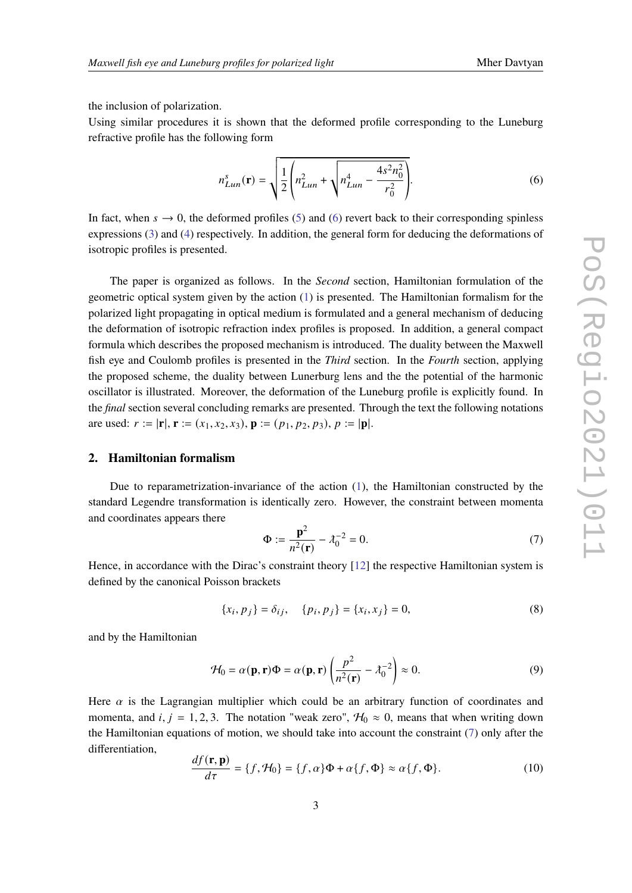the inclusion of polarization.

Using similar procedures it is shown that the deformed profile corresponding to the Luneburg refractive profile has the following form

<span id="page-2-0"></span>
$$
n_{Lun}^s(\mathbf{r}) = \sqrt{\frac{1}{2} \left( n_{Lun}^2 + \sqrt{n_{Lun}^4 - \frac{4s^2 n_0^2}{r_0^2}} \right)}.
$$
 (6)

In fact, when  $s \to 0$ , the deformed profiles [\(5\)](#page-1-1) and [\(6\)](#page-2-0) revert back to their corresponding spinless expressions [\(3\)](#page-1-0) and [\(4\)](#page-1-2) respectively. In addition, the general form for deducing the deformations of isotropic profiles is presented.

The paper is organized as follows. In the Second section, Hamiltonian formulation of the geometric optical system given by the action [\(1\)](#page-1-3) is presented. The Hamiltonian formalism for the polarized light propagating in optical medium is formulated and a general mechanism of deducing the deformation of isotropic refraction index profiles is proposed. In addition, a general compact formula which describes the proposed mechanism is introduced. The duality between the Maxwell fish eye and Coulomb profiles is presented in the *Third* section. In the *Fourth* section, applying the proposed scheme, the duality between Lunerburg lens and the the potential of the harmonic oscillator is illustrated. Moreover, the deformation of the Luneburg profile is explicitly found. In the *final* section several concluding remarks are presented. Through the text the following notations are used:  $r := |\mathbf{r}|, \mathbf{r} := (x_1, x_2, x_3), \mathbf{p} := (p_1, p_2, p_3), p := |\mathbf{p}|.$ 

#### **2. Hamiltonian formalism**

Due to reparametrization-invariance of the action [\(1\)](#page-1-3), the Hamiltonian constructed by the standard Legendre transformation is identically zero. However, the constraint between momenta and coordinates appears there

<span id="page-2-1"></span>
$$
\Phi := \frac{\mathbf{p}^2}{n^2(\mathbf{r})} - \lambda_0^{-2} = 0.
$$
 (7)

Hence, in accordance with the Dirac's constraint theory [\[12\]](#page-8-6) the respective Hamiltonian system is defined by the canonical Poisson brackets

<span id="page-2-2"></span>
$$
\{x_i, p_j\} = \delta_{ij}, \quad \{p_i, p_j\} = \{x_i, x_j\} = 0,
$$
\n(8)

and by the Hamiltonian

<span id="page-2-3"></span>
$$
\mathcal{H}_0 = \alpha(\mathbf{p}, \mathbf{r}) \Phi = \alpha(\mathbf{p}, \mathbf{r}) \left( \frac{p^2}{n^2(\mathbf{r})} - \lambda_0^{-2} \right) \approx 0. \tag{9}
$$

Here  $\alpha$  is the Lagrangian multiplier which could be an arbitrary function of coordinates and momenta, and i,  $j = 1, 2, 3$ . The notation "weak zero",  $\mathcal{H}_0 \approx 0$ , means that when writing down the Hamiltonian equations of motion, we should take into account the constraint [\(7\)](#page-2-1) only after the differentiation,

$$
\frac{df(\mathbf{r}, \mathbf{p})}{d\tau} = \{f, \mathcal{H}_0\} = \{f, \alpha\} \Phi + \alpha \{f, \Phi\} \approx \alpha \{f, \Phi\}.
$$
 (10)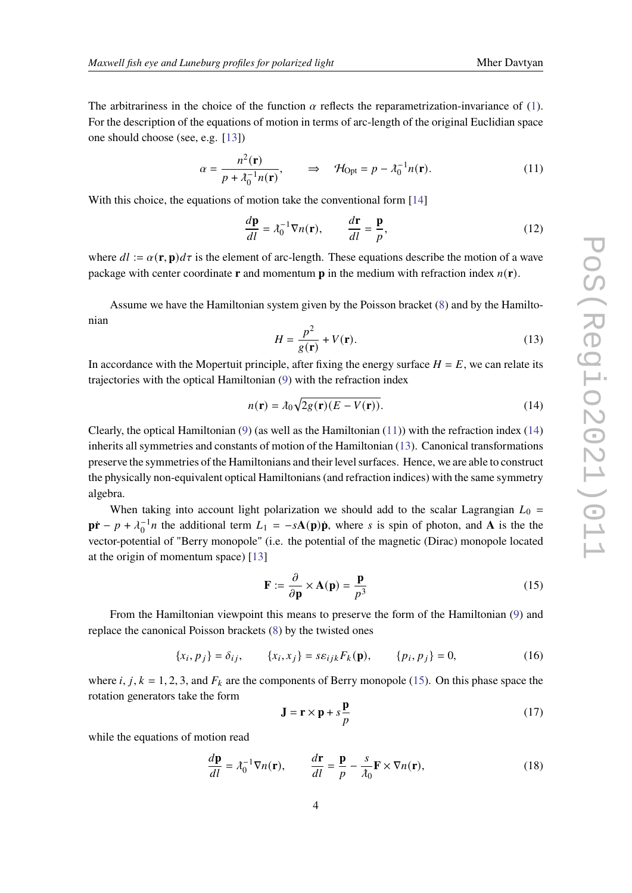The arbitrariness in the choice of the function  $\alpha$  reflects the reparametrization-invariance of [\(1\)](#page-1-3). For the description of the equations of motion in terms of arc-length of the original Euclidian space one should choose (see, e.g. [\[13\]](#page-8-7))

<span id="page-3-0"></span>
$$
\alpha = \frac{n^2(\mathbf{r})}{p + \lambda_0^{-1} n(\mathbf{r})}, \qquad \Rightarrow \quad \mathcal{H}_{\text{Opt}} = p - \lambda_0^{-1} n(\mathbf{r}). \tag{11}
$$

With this choice, the equations of motion take the conventional form [\[14\]](#page-8-8)

$$
\frac{d\mathbf{p}}{dl} = \lambda_0^{-1} \nabla n(\mathbf{r}), \qquad \frac{d\mathbf{r}}{dl} = \frac{\mathbf{p}}{p},
$$
(12)

where  $dl := \alpha(\mathbf{r}, \mathbf{p})d\tau$  is the element of arc-length. These equations describe the motion of a wave package with center coordinate **r** and momentum **p** in the medium with refraction index  $n(\mathbf{r})$ .

Assume we have the Hamiltonian system given by the Poisson bracket [\(8\)](#page-2-2) and by the Hamiltonian

<span id="page-3-2"></span>
$$
H = \frac{p^2}{g(\mathbf{r})} + V(\mathbf{r}).
$$
\n(13)

In accordance with the Mopertuit principle, after fixing the energy surface  $H = E$ , we can relate its trajectories with the optical Hamiltonian [\(9\)](#page-2-3) with the refraction index

<span id="page-3-1"></span>
$$
n(\mathbf{r}) = \lambda_0 \sqrt{2g(\mathbf{r})(E - V(\mathbf{r}))}.
$$
 (14)

Clearly, the optical Hamiltonian  $(9)$  (as well as the Hamiltonian  $(11)$ ) with the refraction index  $(14)$ inherits all symmetries and constants of motion of the Hamiltonian [\(13\)](#page-3-2). Canonical transformations preserve the symmetries of the Hamiltonians and their level surfaces. Hence, we are able to construct the physically non-equivalent optical Hamiltonians (and refraction indices) with the same symmetry algebra.

When taking into account light polarization we should add to the scalar Lagrangian  $L_0$  =  $\mathbf{p}\mathbf{r} - p + \lambda_0^{-1}n$  the additional term  $L_1 = -s\mathbf{A}(\mathbf{p})\mathbf{p}$ , where s is spin of photon, and **A** is the the vector-potential of "Berry monopole" (i.e. the potential of the magnetic (Dirac) monopole located at the origin of momentum space) [\[13\]](#page-8-7)

<span id="page-3-3"></span>
$$
\mathbf{F} := \frac{\partial}{\partial \mathbf{p}} \times \mathbf{A}(\mathbf{p}) = \frac{\mathbf{p}}{p^3}
$$
 (15)

From the Hamiltonian viewpoint this means to preserve the form of the Hamiltonian [\(9\)](#page-2-3) and replace the canonical Poisson brackets [\(8\)](#page-2-2) by the twisted ones

$$
\{x_i, p_j\} = \delta_{ij}, \qquad \{x_i, x_j\} = s\varepsilon_{ijk} F_k(\mathbf{p}), \qquad \{p_i, p_j\} = 0,
$$
 (16)

where *i*, *j*,  $k = 1, 2, 3$ , and  $F_k$  are the components of Berry monopole [\(15\)](#page-3-3). On this phase space the rotation generators take the form

<span id="page-3-4"></span>
$$
\mathbf{J} = \mathbf{r} \times \mathbf{p} + s \frac{\mathbf{p}}{p}
$$
 (17)

while the equations of motion read

$$
\frac{d\mathbf{p}}{dl} = \lambda_0^{-1} \nabla n(\mathbf{r}), \qquad \frac{d\mathbf{r}}{dl} = \frac{\mathbf{p}}{p} - \frac{s}{\lambda_0} \mathbf{F} \times \nabla n(\mathbf{r}), \tag{18}
$$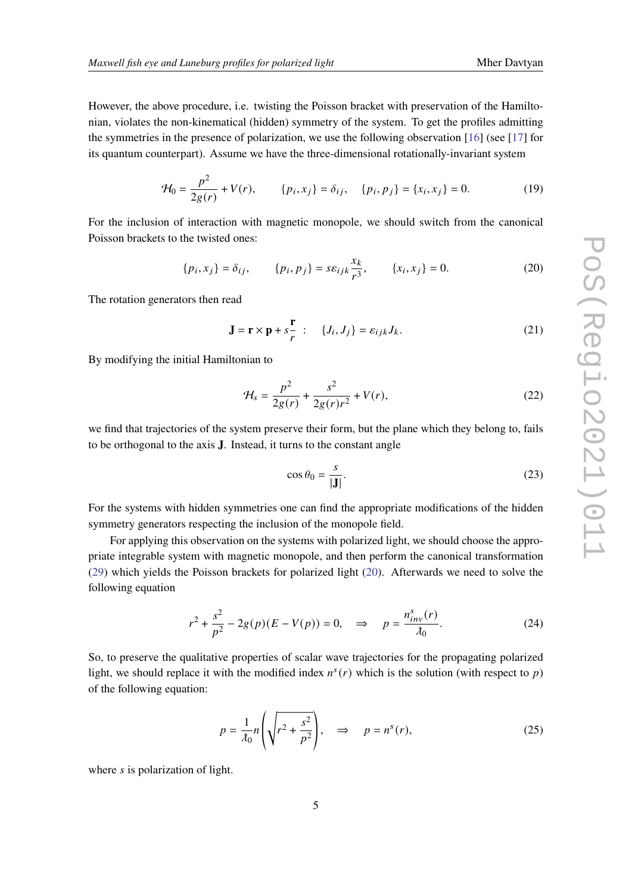However, the above procedure, i.e. twisting the Poisson bracket with preservation of the Hamiltonian, violates the non-kinematical (hidden) symmetry of the system. To get the profiles admitting the symmetries in the presence of polarization, we use the following observation [\[16\]](#page-8-9) (see [\[17\]](#page-8-10) for its quantum counterpart). Assume we have the three-dimensional rotationally-invariant system

$$
\mathcal{H}_0 = \frac{p^2}{2g(r)} + V(r), \qquad \{p_i, x_j\} = \delta_{ij}, \quad \{p_i, p_j\} = \{x_i, x_j\} = 0.
$$
 (19)

For the inclusion of interaction with magnetic monopole, we should switch from the canonical Poisson brackets to the twisted ones:

<span id="page-4-0"></span>
$$
\{p_i, x_j\} = \delta_{ij}, \qquad \{p_i, p_j\} = s\varepsilon_{ijk}\frac{x_k}{r^3}, \qquad \{x_i, x_j\} = 0.
$$
 (20)

The rotation generators then read

<span id="page-4-1"></span>
$$
\mathbf{J} = \mathbf{r} \times \mathbf{p} + s \frac{\mathbf{r}}{r} : \quad \{J_i, J_j\} = \varepsilon_{ijk} J_k. \tag{21}
$$

By modifying the initial Hamiltonian to

$$
\mathcal{H}_s = \frac{p^2}{2g(r)} + \frac{s^2}{2g(r)r^2} + V(r),\tag{22}
$$

we find that trajectories of the system preserve their form, but the plane which they belong to, fails to be orthogonal to the axis **J**. Instead, it turns to the constant angle

$$
\cos \theta_0 = \frac{s}{|\mathbf{J}|}.\tag{23}
$$

For the systems with hidden symmetries one can find the appropriate modifications of the hidden symmetry generators respecting the inclusion of the monopole field.

For applying this observation on the systems with polarized light, we should choose the appropriate integrable system with magnetic monopole, and then perform the canonical transformation [\(29\)](#page-5-0) which yields the Poisson brackets for polarized light [\(20\)](#page-4-0). Afterwards we need to solve the following equation

$$
r^{2} + \frac{s^{2}}{p^{2}} - 2g(p)(E - V(p)) = 0, \implies p = \frac{n_{inv}^{s}(r)}{\lambda_{0}}.
$$
 (24)

So, to preserve the qualitative properties of scalar wave trajectories for the propagating polarized light, we should replace it with the modified index  $n^{s}(r)$  which is the solution (with respect to p) of the following equation:

<span id="page-4-2"></span>
$$
p = \frac{1}{\lambda_0} n \left( \sqrt{r^2 + \frac{s^2}{p^2}} \right), \quad \Rightarrow \quad p = n^s(r), \tag{25}
$$

where  $s$  is polarization of light.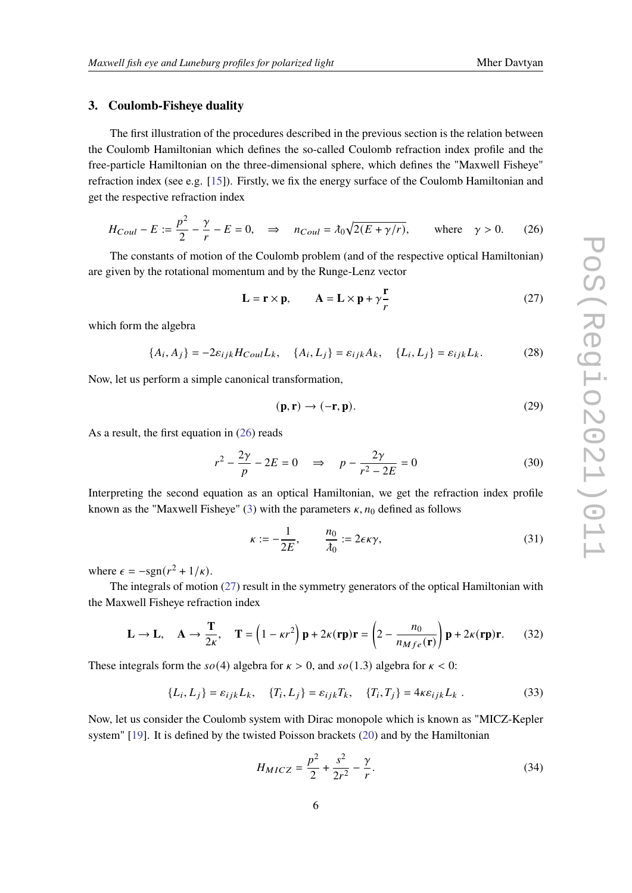#### **3. Coulomb-Fisheye duality**

The first illustration of the procedures described in the previous section is the relation between the Coulomb Hamiltonian which defines the so-called Coulomb refraction index profile and the free-particle Hamiltonian on the three-dimensional sphere, which defines the "Maxwell Fisheye" refraction index (see e.g. [\[15\]](#page-8-11)). Firstly, we fix the energy surface of the Coulomb Hamiltonian and get the respective refraction index

<span id="page-5-1"></span>
$$
H_{Coul} - E := \frac{p^2}{2} - \frac{\gamma}{r} - E = 0, \quad \Rightarrow \quad n_{Coul} = \lambda_0 \sqrt{2(E + \gamma/r)}, \qquad \text{where} \quad \gamma > 0. \tag{26}
$$

The constants of motion of the Coulomb problem (and of the respective optical Hamiltonian) are given by the rotational momentum and by the Runge-Lenz vector

<span id="page-5-2"></span>
$$
\mathbf{L} = \mathbf{r} \times \mathbf{p}, \qquad \mathbf{A} = \mathbf{L} \times \mathbf{p} + \gamma \frac{\mathbf{r}}{r}
$$
 (27)

which form the algebra

<span id="page-5-3"></span>
$$
\{A_i, A_j\} = -2\varepsilon_{ijk} H_{Coul} L_k, \quad \{A_i, L_j\} = \varepsilon_{ijk} A_k, \quad \{L_i, L_j\} = \varepsilon_{ijk} L_k.
$$
 (28)

Now, let us perform a simple canonical transformation,

<span id="page-5-0"></span>
$$
(\mathbf{p}, \mathbf{r}) \to (-\mathbf{r}, \mathbf{p}). \tag{29}
$$

As a result, the first equation in [\(26\)](#page-5-1) reads

$$
r^2 - \frac{2\gamma}{p} - 2E = 0 \quad \Rightarrow \quad p - \frac{2\gamma}{r^2 - 2E} = 0 \tag{30}
$$

Interpreting the second equation as an optical Hamiltonian, we get the refraction index profile known as the "Maxwell Fisheye" [\(3\)](#page-1-0) with the parameters  $\kappa$ ,  $n_0$  defined as follows

<span id="page-5-4"></span>
$$
\kappa := -\frac{1}{2E}, \qquad \frac{n_0}{\lambda_0} := 2\epsilon \kappa \gamma, \tag{31}
$$

where  $\epsilon = -\text{sgn}(r^2 + 1/\kappa)$ .

The integrals of motion [\(27\)](#page-5-2) result in the symmetry generators of the optical Hamiltonian with the Maxwell Fisheye refraction index

$$
\mathbf{L} \to \mathbf{L}, \quad \mathbf{A} \to \frac{\mathbf{T}}{2\kappa}, \quad \mathbf{T} = \left(1 - \kappa r^2\right)\mathbf{p} + 2\kappa(\mathbf{rp})\mathbf{r} = \left(2 - \frac{n_0}{n_{Mfe}(\mathbf{r})}\right)\mathbf{p} + 2\kappa(\mathbf{rp})\mathbf{r}.\tag{32}
$$

These integrals form the  $\mathfrak{so}(4)$  algebra for  $\kappa > 0$ , and  $\mathfrak{so}(1.3)$  algebra for  $\kappa < 0$ :

<span id="page-5-5"></span>
$$
\{L_i, L_j\} = \varepsilon_{ijk} L_k, \quad \{T_i, L_j\} = \varepsilon_{ijk} T_k, \quad \{T_i, T_j\} = 4\kappa \varepsilon_{ijk} L_k . \tag{33}
$$

Now, let us consider the Coulomb system with Dirac monopole which is known as "MICZ-Kepler system" [\[19\]](#page-8-12). It is defined by the twisted Poisson brackets [\(20\)](#page-4-0) and by the Hamiltonian

$$
H_{MICZ} = \frac{p^2}{2} + \frac{s^2}{2r^2} - \frac{\gamma}{r}.
$$
 (34)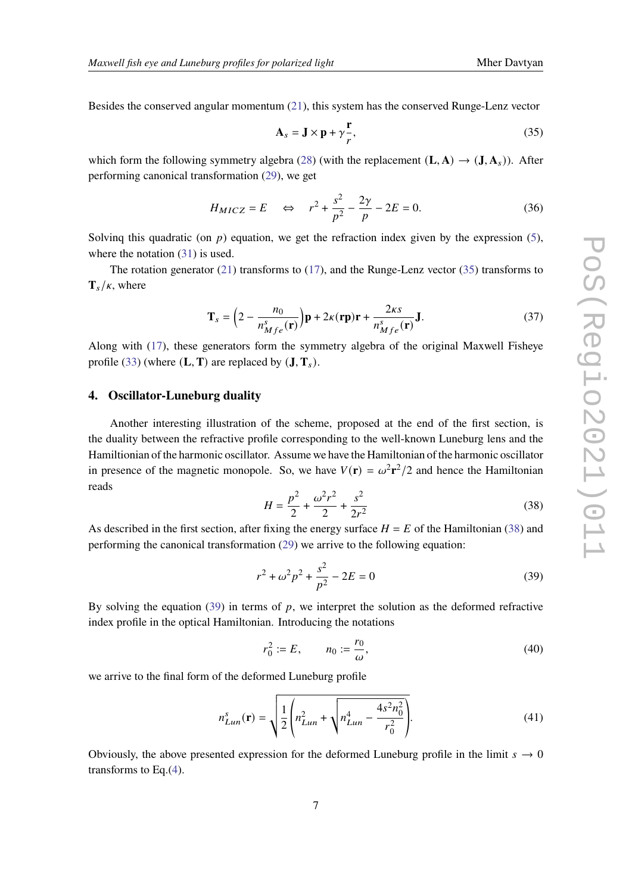Besides the conserved angular momentum [\(21\)](#page-4-1), this system has the conserved Runge-Lenz vector

<span id="page-6-0"></span>
$$
\mathbf{A}_s = \mathbf{J} \times \mathbf{p} + \gamma \frac{\mathbf{r}}{r},\tag{35}
$$

which form the following symmetry algebra [\(28\)](#page-5-3) (with the replacement  $(L, A) \rightarrow (J, A_s)$ ). After performing canonical transformation [\(29\)](#page-5-0), we get

$$
H_{MICZ} = E \quad \Leftrightarrow \quad r^2 + \frac{s^2}{p^2} - \frac{2\gamma}{p} - 2E = 0. \tag{36}
$$

Solving this quadratic (on  $p$ ) equation, we get the refraction index given by the expression [\(5\)](#page-1-1), where the notation  $(31)$  is used.

The rotation generator [\(21\)](#page-4-1) transforms to [\(17\)](#page-3-4), and the Runge-Lenz vector [\(35\)](#page-6-0) transforms to  $\mathbf{T}_s/\kappa$ , where

$$
\mathbf{T}_s = \left(2 - \frac{n_0}{n_{Mfe}^s(\mathbf{r})}\right) \mathbf{p} + 2\kappa(\mathbf{r}\mathbf{p})\mathbf{r} + \frac{2\kappa s}{n_{Mfe}^s(\mathbf{r})}\mathbf{J}.
$$
 (37)

Along with [\(17\)](#page-3-4), these generators form the symmetry algebra of the original Maxwell Fisheye profile [\(33\)](#page-5-5) (where  $(L, T)$  are replaced by  $(J, T_s)$ .

#### **4. Oscillator-Luneburg duality**

Another interesting illustration of the scheme, proposed at the end of the first section, is the duality between the refractive profile corresponding to the well-known Luneburg lens and the Hamiltionian of the harmonic oscillator. Assume we have the Hamiltonian of the harmonic oscillator in presence of the magnetic monopole. So, we have  $V(\mathbf{r}) = \omega^2 \mathbf{r}^2/2$  and hence the Hamiltonian reads

<span id="page-6-1"></span>
$$
H = \frac{p^2}{2} + \frac{\omega^2 r^2}{2} + \frac{s^2}{2r^2}
$$
 (38)

As described in the first section, after fixing the energy surface  $H = E$  of the Hamiltonian [\(38\)](#page-6-1) and performing the canonical transformation [\(29\)](#page-5-0) we arrive to the following equation:

<span id="page-6-2"></span>
$$
r^2 + \omega^2 p^2 + \frac{s^2}{p^2} - 2E = 0
$$
 (39)

By solving the equation  $(39)$  in terms of p, we interpret the solution as the deformed refractive index profile in the optical Hamiltonian. Introducing the notations

$$
r_0^2 := E, \qquad n_0 := \frac{r_0}{\omega}, \tag{40}
$$

we arrive to the final form of the deformed Luneburg profile

$$
n_{Lun}^s(\mathbf{r}) = \sqrt{\frac{1}{2} \left( n_{Lun}^2 + \sqrt{n_{Lun}^4 - \frac{4s^2 n_0^2}{r_0^2}} \right)}.
$$
(41)

Obviously, the above presented expression for the deformed Luneburg profile in the limit  $s \to 0$ transforms to Eq.[\(4\)](#page-1-2).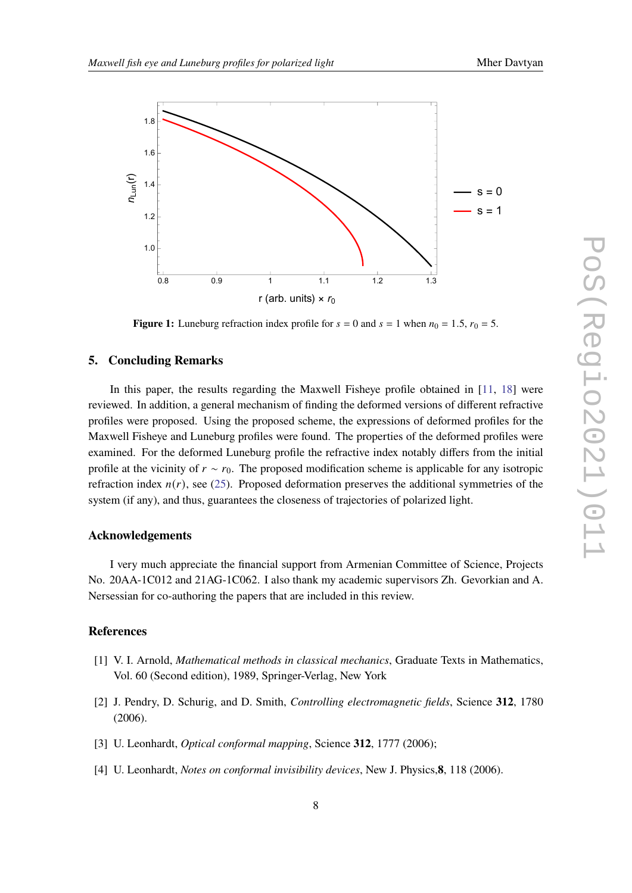

**Figure 1:** Luneburg refraction index profile for  $s = 0$  and  $s = 1$  when  $n_0 = 1.5$ ,  $r_0 = 5$ .

### **5. Concluding Remarks**

In this paper, the results regarding the Maxwell Fisheve profile obtained in [\[11,](#page-8-13) [18\]](#page-8-5) were reviewed. In addition, a general mechanism of finding the deformed versions of different refractive profiles were proposed. Using the proposed scheme, the expressions of deformed profiles for the Maxwell Fisheye and Luneburg profiles were found. The properties of the deformed profiles were examined. For the deformed Luneburg profile the refractive index notably differs from the initial profile at the vicinity of  $r \sim r_0$ . The proposed modification scheme is applicable for any isotropic refraction index  $n(r)$ , see [\(25\)](#page-4-2). Proposed deformation preserves the additional symmetries of the system (if any), and thus, guarantees the closeness of trajectories of polarized light.

#### **Acknowledgements**

I very much appreciate the financial support from Armenian Committee of Science, Projects No. 20AA-1C012 and 21AG-1C062. I also thank my academic supervisors Zh. Gevorkian and A. Nersessian for co-authoring the papers that are included in this review.

### **References**

- <span id="page-7-0"></span>[1] V. I. Arnold, *Mathematical methods in classical mechanics*, Graduate Texts in Mathematics, Vol. 60 (Second edition), 1989, Springer-Verlag, New York
- <span id="page-7-1"></span>[2] J. Pendry, D. Schurig, and D. Smith, *Controlling electromagnetic fields*, Science **312**, 1780 (2006).
- [3] U. Leonhardt, *Optical conformal mapping*, Science **312**, 1777 (2006);
- <span id="page-7-2"></span>[4] U. Leonhardt, *Notes on conformal invisibility devices*, New J. Physics,**8**, 118 (2006).